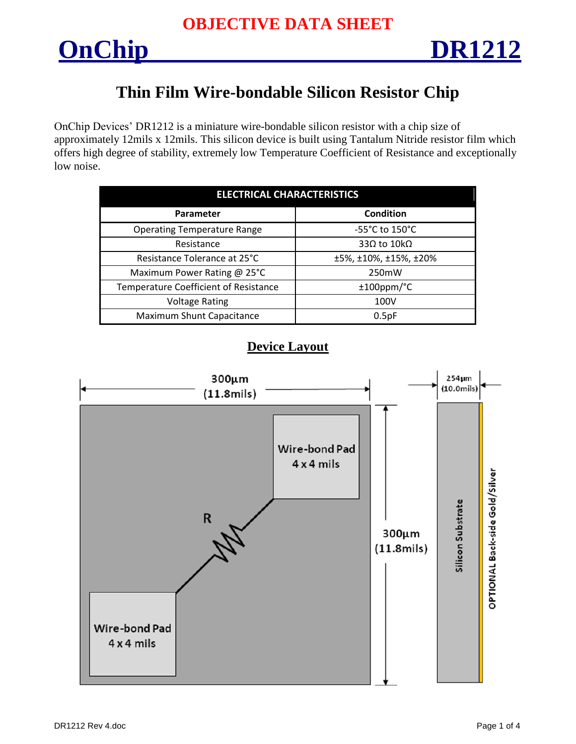

## **Thin Film Wire-bondable Silicon Resistor Chip**

OnChip Devices' DR1212 is a miniature wire-bondable silicon resistor with a chip size of approximately 12mils x 12mils. This silicon device is built using Tantalum Nitride resistor film which offers high degree of stability, extremely low Temperature Coefficient of Resistance and exceptionally low noise.

| <b>ELECTRICAL CHARACTERISTICS</b>     |                                     |  |  |  |  |
|---------------------------------------|-------------------------------------|--|--|--|--|
| Parameter                             | <b>Condition</b>                    |  |  |  |  |
| <b>Operating Temperature Range</b>    | $-55^{\circ}$ C to 150 $^{\circ}$ C |  |  |  |  |
| Resistance                            | 33Ω to $10kΩ$                       |  |  |  |  |
| Resistance Tolerance at 25°C          | ±5%, ±10%, ±15%, ±20%               |  |  |  |  |
| Maximum Power Rating @ 25°C           | 250mW                               |  |  |  |  |
| Temperature Coefficient of Resistance | $±100$ ppm/ $°C$                    |  |  |  |  |
| <b>Voltage Rating</b>                 | 100V                                |  |  |  |  |
| Maximum Shunt Capacitance             | 0.5pF                               |  |  |  |  |

### **Device Layout**

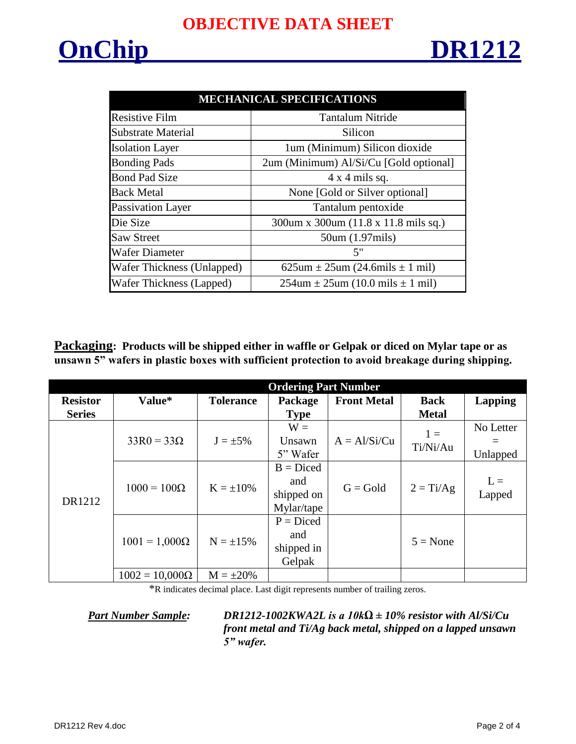# **OnChip DR1212**

| <b>MECHANICAL SPECIFICATIONS</b> |                                              |  |  |  |  |  |
|----------------------------------|----------------------------------------------|--|--|--|--|--|
| <b>Resistive Film</b>            | <b>Tantalum Nitride</b>                      |  |  |  |  |  |
| Substrate Material               | Silicon                                      |  |  |  |  |  |
| <b>Isolation Layer</b>           | 1um (Minimum) Silicon dioxide                |  |  |  |  |  |
| <b>Bonding Pads</b>              | 2um (Minimum) Al/Si/Cu [Gold optional]       |  |  |  |  |  |
| <b>Bond Pad Size</b>             | $4 \times 4$ mils sq.                        |  |  |  |  |  |
| <b>Back Metal</b>                | None [Gold or Silver optional]               |  |  |  |  |  |
| Passivation Layer                | Tantalum pentoxide                           |  |  |  |  |  |
| Die Size                         | 300um x 300um (11.8 x 11.8 mils sq.)         |  |  |  |  |  |
| <b>Saw Street</b>                | 50um (1.97mils)                              |  |  |  |  |  |
| <b>Wafer Diameter</b>            | 5"                                           |  |  |  |  |  |
| Wafer Thickness (Unlapped)       | $625$ um $\pm 25$ um (24.6mils $\pm 1$ mil)  |  |  |  |  |  |
| Wafer Thickness (Lapped)         | $254$ um $\pm 25$ um (10.0 mils $\pm 1$ mil) |  |  |  |  |  |

**Packaging: Products will be shipped either in waffle or Gelpak or diced on Mylar tape or as unsawn 5" wafers in plastic boxes with sufficient protection to avoid breakage during shipping.**

|                 | <b>Ordering Part Number</b> |                  |             |                    |                   |                |  |  |
|-----------------|-----------------------------|------------------|-------------|--------------------|-------------------|----------------|--|--|
| <b>Resistor</b> | Value*                      | <b>Tolerance</b> | Package     | <b>Front Metal</b> | <b>Back</b>       | <b>Lapping</b> |  |  |
| <b>Series</b>   |                             |                  | <b>Type</b> |                    | <b>Metal</b>      |                |  |  |
| DR1212          | $33R0 = 33\Omega$           | $J = \pm 5\%$    | $W =$       | $A = A1/Si/Cu$     | $1 =$<br>Ti/Ni/Au | No Letter      |  |  |
|                 |                             |                  | Unsawn      |                    |                   |                |  |  |
|                 |                             |                  | 5" Wafer    |                    |                   | Unlapped       |  |  |
|                 | $1000 = 100\Omega$          | $K = \pm 10\%$   | $B = Diced$ | $G = Gold$         | $2 = Ti/Ag$       |                |  |  |
|                 |                             |                  | and         |                    |                   | $L =$          |  |  |
|                 |                             |                  | shipped on  |                    |                   | Lapped         |  |  |
|                 |                             |                  | Mylar/tape  |                    |                   |                |  |  |
|                 | $1001 = 1,000\Omega$        |                  | $P = Diced$ |                    |                   |                |  |  |
|                 |                             | $N = \pm 15\%$   | and         |                    | $5 = None$        |                |  |  |
|                 |                             |                  | shipped in  |                    |                   |                |  |  |
|                 |                             |                  | Gelpak      |                    |                   |                |  |  |
|                 | $1002 = 10,000\Omega$       | $M = \pm 20\%$   |             |                    |                   |                |  |  |

\*R indicates decimal place. Last digit represents number of trailing zeros.

*Part Number Sample: DR1212-1002KWA2L is a 10kΩ ± 10% resistor with Al/Si/Cu front metal and Ti/Ag back metal, shipped on a lapped unsawn 5" wafer.*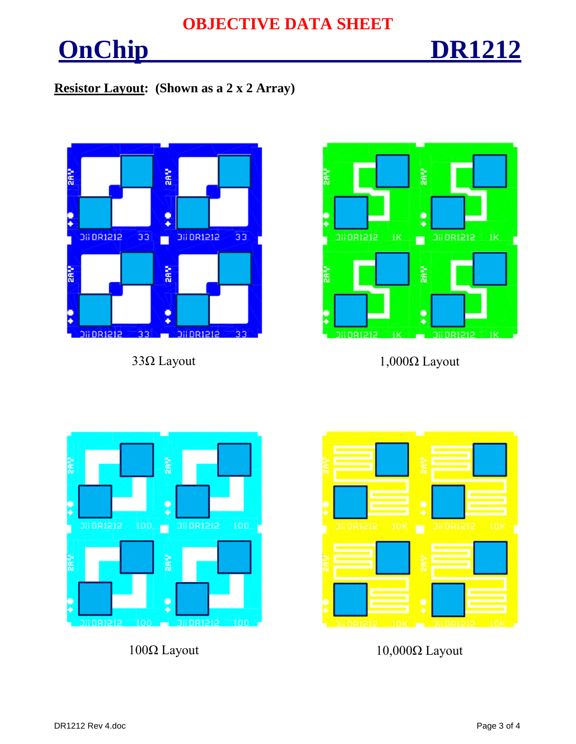## **OBJECTIVE DATA SHEET**

# **OnChip DR1212**

### **Resistor Layout: (Shown as a 2 x 2 Array)**





 $33\Omega$  Layout 1,000 $\Omega$  Layout





100Ω Layout 10,000Ω Layout